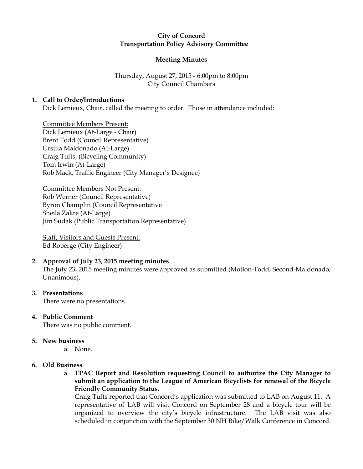## City of Concord Transportation Policy Advisory Committee

### Meeting Minutes

# Thursday, August 27, 2015 - 6:00pm to 8:00pm City Council Chambers

### 1. Call to Order/Introductions

Dick Lemieux, Chair, called the meeting to order. Those in attendance included:

Committee Members Present: Dick Lemieux (At-Large - Chair) Brent Todd (Council Representative) Ursula Maldonado (At-Large) Craig Tufts, (Bicycling Community) Tom Irwin (At-Large) Rob Mack, Traffic Engineer (City Manager's Designee)

Committee Members Not Present: Rob Werner (Council Representative) Byron Champlin (Council Representative Sheila Zakre (At-Large) Jim Sudak (Public Transportation Representative)

Staff, Visitors and Guests Present: Ed Roberge (City Engineer)

## 2. Approval of July 23, 2015 meeting minutes

The July 23, 2015 meeting minutes were approved as submitted (Motion-Todd; Second-Maldonado; Unanimous).

### 3. Presentations

There were no presentations.

4. Public Comment

There was no public comment.

#### 5. New business

a. None.

## 6. Old Business

a. TPAC Report and Resolution requesting Council to authorize the City Manager to submit an application to the League of American Bicyclists for renewal of the Bicycle Friendly Community Status.

Craig Tufts reported that Concord's application was submitted to LAB on August 11. A representative of LAB will visit Concord on September 28 and a bicycle tour will be organized to overview the city's bicycle infrastructure. The LAB visit was also scheduled in conjunction with the September 30 NH Bike/Walk Conference in Concord.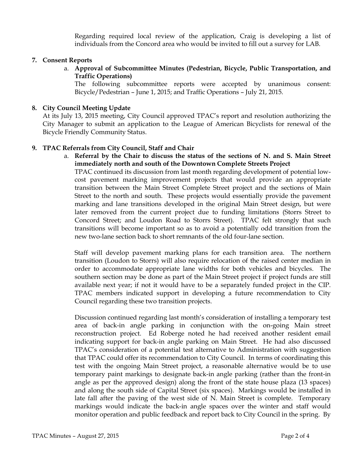Regarding required local review of the application, Craig is developing a list of individuals from the Concord area who would be invited to fill out a survey for LAB.

## 7. Consent Reports

a. Approval of Subcommittee Minutes (Pedestrian, Bicycle, Public Transportation, and Traffic Operations)

The following subcommittee reports were accepted by unanimous consent: Bicycle/Pedestrian – June 1, 2015; and Traffic Operations – July 21, 2015.

#### 8. City Council Meeting Update

At its July 13, 2015 meeting, City Council approved TPAC's report and resolution authorizing the City Manager to submit an application to the League of American Bicyclists for renewal of the Bicycle Friendly Community Status.

#### 9. TPAC Referrals from City Council, Staff and Chair

a. Referral by the Chair to discuss the status of the sections of N. and S. Main Street immediately north and south of the Downtown Complete Streets Project

TPAC continued its discussion from last month regarding development of potential lowcost pavement marking improvement projects that would provide an appropriate transition between the Main Street Complete Street project and the sections of Main Street to the north and south. These projects would essentially provide the pavement marking and lane transitions developed in the original Main Street design, but were later removed from the current project due to funding limitations (Storrs Street to Concord Street; and Loudon Road to Storrs Street). TPAC felt strongly that such transitions will become important so as to avoid a potentially odd transition from the new two-lane section back to short remnants of the old four-lane section.

Staff will develop pavement marking plans for each transition area. The northern transition (Loudon to Storrs) will also require relocation of the raised center median in order to accommodate appropriate lane widths for both vehicles and bicycles. The southern section may be done as part of the Main Street project if project funds are still available next year; if not it would have to be a separately funded project in the CIP. TPAC members indicated support in developing a future recommendation to City Council regarding these two transition projects.

Discussion continued regarding last month's consideration of installing a temporary test area of back-in angle parking in conjunction with the on-going Main street reconstruction project. Ed Roberge noted he had received another resident email indicating support for back-in angle parking on Main Street. He had also discussed TPAC's consideration of a potential test alternative to Administration with suggestion that TPAC could offer its recommendation to City Council. In terms of coordinating this test with the ongoing Main Street project, a reasonable alternative would be to use temporary paint markings to designate back-in angle parking (rather than the front-in angle as per the approved design) along the front of the state house plaza (13 spaces) and along the south side of Capital Street (six spaces). Markings would be installed in late fall after the paving of the west side of N. Main Street is complete. Temporary markings would indicate the back-in angle spaces over the winter and staff would monitor operation and public feedback and report back to City Council in the spring. By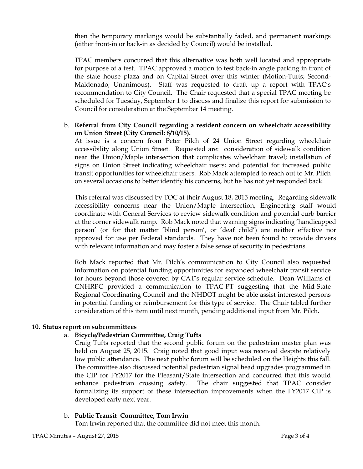then the temporary markings would be substantially faded, and permanent markings (either front-in or back-in as decided by Council) would be installed.

TPAC members concurred that this alternative was both well located and appropriate for purpose of a test. TPAC approved a motion to test back-in angle parking in front of the state house plaza and on Capital Street over this winter (Motion-Tufts; Second-Maldonado; Unanimous). Staff was requested to draft up a report with TPAC's recommendation to City Council. The Chair requested that a special TPAC meeting be scheduled for Tuesday, September 1 to discuss and finalize this report for submission to Council for consideration at the September 14 meeting.

### b. Referral from City Council regarding a resident concern on wheelchair accessibility on Union Street (City Council: 8/10/15).

At issue is a concern from Peter Pilch of 24 Union Street regarding wheelchair accessibility along Union Street. Requested are: consideration of sidewalk condition near the Union/Maple intersection that complicates wheelchair travel; installation of signs on Union Street indicating wheelchair users; and potential for increased public transit opportunities for wheelchair users. Rob Mack attempted to reach out to Mr. Pilch on several occasions to better identify his concerns, but he has not yet responded back.

This referral was discussed by TOC at their August 18, 2015 meeting. Regarding sidewalk accessibility concerns near the Union/Maple intersection, Engineering staff would coordinate with General Services to review sidewalk condition and potential curb barrier at the corner sidewalk ramp. Rob Mack noted that warning signs indicating 'handicapped person' (or for that matter 'blind person', or 'deaf child') are neither effective nor approved for use per Federal standards. They have not been found to provide drivers with relevant information and may foster a false sense of security in pedestrians.

Rob Mack reported that Mr. Pilch's communication to City Council also requested information on potential funding opportunities for expanded wheelchair transit service for hours beyond those covered by CAT's regular service schedule. Dean Williams of CNHRPC provided a communication to TPAC-PT suggesting that the Mid-State Regional Coordinating Council and the NHDOT might be able assist interested persons in potential funding or reimbursement for this type of service. The Chair tabled further consideration of this item until next month, pending additional input from Mr. Pilch.

## 10. Status report on subcommittees

## a. Bicycle/Pedestrian Committee, Craig Tufts

Craig Tufts reported that the second public forum on the pedestrian master plan was held on August 25, 2015. Craig noted that good input was received despite relatively low public attendance. The next public forum will be scheduled on the Heights this fall. The committee also discussed potential pedestrian signal head upgrades programmed in the CIP for FY2017 for the Pleasant/State intersection and concurred that this would enhance pedestrian crossing safety. The chair suggested that TPAC consider formalizing its support of these intersection improvements when the FY2017 CIP is developed early next year.

## b. Public Transit Committee, Tom Irwin

Tom Irwin reported that the committee did not meet this month.